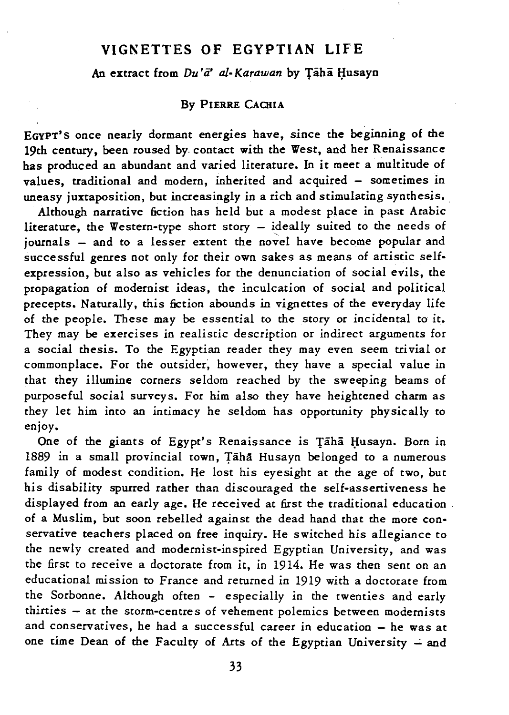## **VIGNETTES OF EGYPTIAN LIFE**

An extract from *Du'a' al-Karawan* by Taha Husayn

## By PIERRE CACHIA

EGYPT'S once nearly dormant energies have, since the beginning of the 19th century, been roused by. contact with the West, and her Renaissance has produced an abundant and varied literature. In *it* meet a multitude of values, traditional and modern, inherited and acquired - sometimes in uneasy juxtaposition, but increasingly in a rich and stimulating synthesis.

Although narrative fiction has held but a modest place in past Arabic literature, the Western-type short story - ideally suited to the needs of journals - and to a lesser extent the novel have become popular and successful genres not only for their own sakes as means of anistic selfexpression, but also as vehicles for the denunciation of social evils, the propagation of modernist ideas, the inculcation of social and political precepts. Naturally, this fiction abounds in vignettes of the everyday life of the people. These may be essential to the story or incidental to it. They may be exercises in realistic description or indirect arguments for a social thesis. To the Egyptian reader they may even seem trivial or commonplace. For the outsider; however, they have a special value in that they illumine corners seldom reached by the sweeping beams of purposeful social surveys. For him also they have heightened charm as they let him into an intimacy he seldom has opportunity physically to enjoy.

One of the giants of Egypt's Renaissance is Taha Husayn. Born in 1889 in a small provincial town, Taha Husayn belonged to a numerous family of modest condition. He lost his eyesight at the age of two, but his disability spurred rather than discouraged the self-asseniveness he displayed from an early age. He received at first the traditional education. of a Muslim, but soon rebelled against the dead hand that the more conservative teachers placed on free inquiry. He switched his allegiance to the newly created and modernist-inspired Egyptian University, and was the first to receive a doctorate from it, in 1914. He was then sent on an educational mission to France and returned in 1919 with a doctorate from the Sorbonne. Although often - especially in the twenties and early thirties - at the storm-centres of vehement polemics between modernists and conservatives, he had a successful career in education  $-$  he was at one time Dean of the Faculty of Arts of the Egyptian University  $\div$  and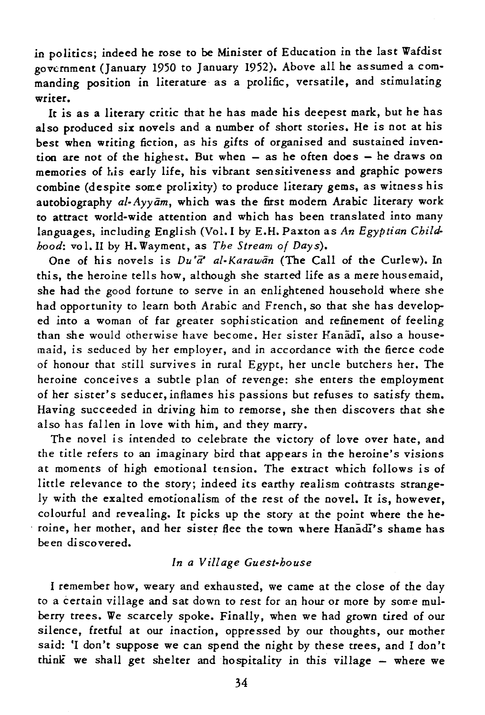in politics; indeed he rose to be Minister of Education in the last Wafdist government (January 1950 to January 1952). Above all he assumed a commanding position in literature as a prolific, versatile, and stimulating writer.

It *is* as a literary critic that he has made his deepest mark, but he has also produced six novels and a number of short stories. He *is* not at his best when writing fiction, as his gifts of organised and sustained invention are not of the highest. But when - as he often does - he draws on memories of *his* early life, his vibrant sensitiveness and graphic powers combine (despite some prolixity) to produce literary gems, as witness his autobiography *al-Ayyam*, which was the first modern Arabic literary work to attract world-wide attention and which has been translated into many languages, including English (Vol. I by E.H. Paxton as *An Egyptian Childhood:* vol.1I by H. Wayment, as *The Stream of Days).* 

One of his novels is  $Du'\bar{a}'$  al-Karawan (The Call of the Curlew). In this, the heroine tells how, although she started life as a mere housemaid, she had the good fortune to serve in an enlightened household where she had opportunity to learn both Arabic and French, so that she has developed into a woman of far greater sophistication and refinement of feeling than she would otherwise have become. Her sister Hanadi, also a housemaid, *is* seduced by her employer, and in accordance with the fierce code of honour that still survives in rural Egypt, her uncle butchers her. The heroine conceives a subtle plan of revenge: she enters the employment of her sister's seducer, inflames his passions but refuses to satisfy them. Having succeeded in driving him to remorse, she then discovers that she also has fallen in love with him, and they marry.

The novel *is* intended to celebrate the victory of love over hate, and the *title* refers to an imaginary bird that appears in the heroine's *visions*  at moments of high emotional tension. The extract which follows is of little relevance to the story; indeed its earthy realism contrasts strangely with the exalted emotionalism of the rest of the novel. It *is,* however, colourful and revealing. It picks up the story at the point where the he roine, her mother, and her sister flee the town where Hanadi's shame has been discovered.

## *In a Village Guest-house*

I remember how, weary and exhausted, we came at the close of the day to a certain village and sat down to rest for an hour or more by some mulberry trees. We scarcely spoke. Finally, when we had grown tired of our silence, fretful at our inaction, oppressed by our thoughts, our mother said: 'I don't suppose we can spend the night by these trees, and I don't think we shall get shelter and hospitaliry *in* this village - where we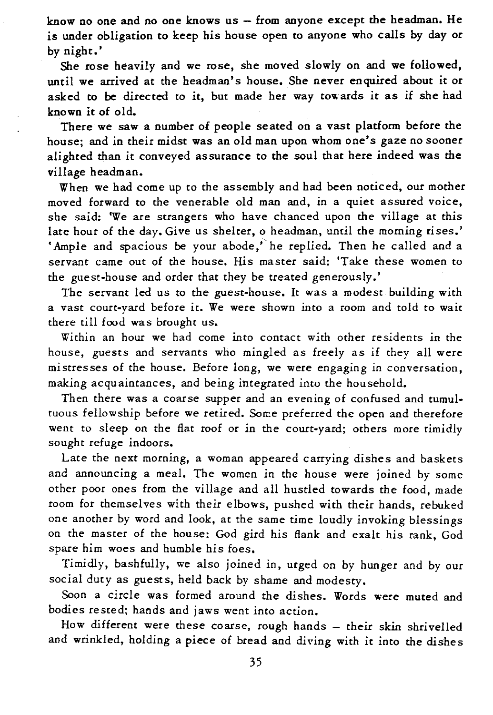know no one and no one knows  $us$  - from anyone except the headman. He is under obligation to keep his house open to anyone who calls by day or by night.'

She rose heavily and we rose, she moved slowly on and we followed, until we arrived at the headman's house. She never enquired about it or asked to be directed to it, but made her way towards *it* as if she had known it of old.

There we saw a number of people seated on a vast platform before the house; and in their midst was an old man upon whom one's gaze no sooner alighted than it conveyed assurance to the soul that here indeed was the village headman.

When we had come up to the assembly and had been noticed, our mother moved forward to the venerable old man and, *in* a quiet assured voice, she said: 'We are strangers who have chanced upon the village at *this*  late hour of the day. Give us shelter, o headman, until the morning rises.' • Ample and spacious be your abode," he replied. Then he called and a servant came out of the house. His master said: 'Take these women to the guest-house and order that they be treated generously.'

The servant led us to the guest-house. It was a modest building with a vast court-yard before it. We were shown into a room and told to wait there till food was brought us.

Within an hour we had come into contact with other residents in the house, guests and servants who mingled as freely as if they all were mistresses of the house. Before long, we were engaging in conversation, making acquaintances, and being integrated *into* the household.

Then there was a coarse supper and an evening of confused and tumultuous fellowship before we retired. Some preferred the open and therefore went to sleep on the flat roof or in the court-yard; others more timidly sought refuge indoors.

Late the next morning, a woman appeared carrying dishes and baskets and announcing a meal. The women in the house were joined by some other poor ones from the village and all hustled towards the food, made room for themselves with their elbows, pushed with their hands, rebuked one another by word and look, at the same time loudly invoking blessings on the master of the house: God gird his flank and exalt *his* rank, God spare him woes and humble his foes.

Timidly, bashfully, we also joined in, urged on by hunger and by our social duty as guests, held back by shame and modesty.

Soon a *circle* was formed around the *dishes.* Words were muted and bodies rested; hands and jaws went into action.

How different were these coarse, rough hands - their skin shrivelled and wrinkled, holding a piece of bread and diying with *it* into the dishes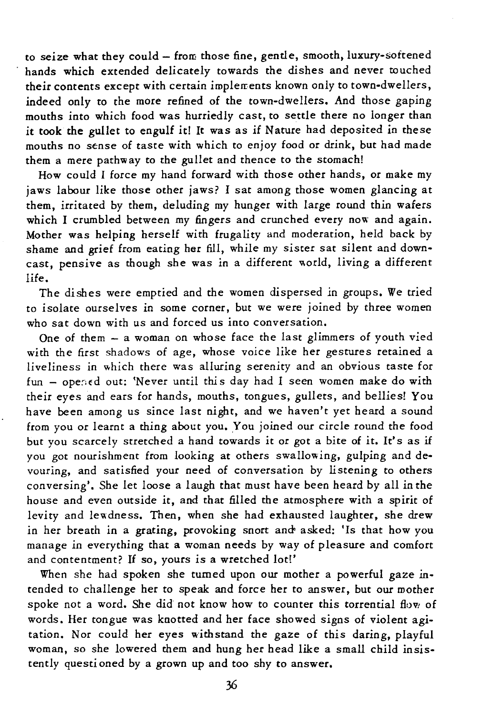to seize what they could - from those fine, gentle, smooth, luxury-softened hands which extended delicately towards the dishes and never touched their contents except with certain implerrents known only to town-dwellers, indeed only to the more refined of the town-dwellers. And those gaping mouths *into* which food was hurriedly cast, to settle there no longer than *it* took the gullet to engulf it! It was as if Nature had deposited in these mouths no sense of taste with which to enjoy food or drink, but had made them a mere pathway to the gullet and thence to the stomach!

How could I force my hand forward with those other hands, or make my jaws labour like those other jaws? I sat among those women glancing at them, irritated by them, deluding my hunger with large round thin wafers which I crumbled between my fingers and crunched every now and again. Mother was helping herself with frugality and moderation, held back by shame and grief from eating her fill, while my sister sat silent and downcast, pensive as though she was in a different world, living a different life.

The dishes were emptied and the women dispersed in groups. We tried to isolate ourselves in some corner, but we were joined by three women who sat down with us and forced us into conversation.

One of them  $-$  a woman on whose face the last glimmers of youth vied with the first shadows of age, whose voice like her gestures retained a liveliness in which there was alluring serenity and an obvious taste for fun - ope;;ed out: 'Never until thi s day had I seen women make do with their eyes and ears for hands, mouths, tongues, gullets, and bellies! You have been among us since last night, and we haven't yet heard a sound from you or learnt a thing about you. You joined our circle round the food but you scarcely stretched a hand towards *it* or got a bite of *it.* It's as if you got nourishment from looking at others swallowing, gulping and devouring, and satisfied your need of conversation by listening to others conversing'. She let loose a laugh that must have been heard by all in the house and even outside *it,* and that filled the atmosphere with a spirit of levity and lewdness. Then, when she had exhausted laughter, she drew in her breath in a grating, provoking snort and asked: 'Is that how you manage in everything that a woman needs by way of pleasure and comfort and contentment? If so, yours is a wretched lot!'

When she had spoken she tumed upon our mother a powerful gaze intended to challenge her to speak and force her to answer, but our mother spoke not a word. She did not know how to counter this torrential flow of words. Her tongue was knotted and her face showed *signs* of violent *agi*tation. Nor could her eyes withstand the gaze of this daring, playful woman, so she lowered them and hung her head like a small child *insis*tently questi oned by a grown up and too shy to answer.

36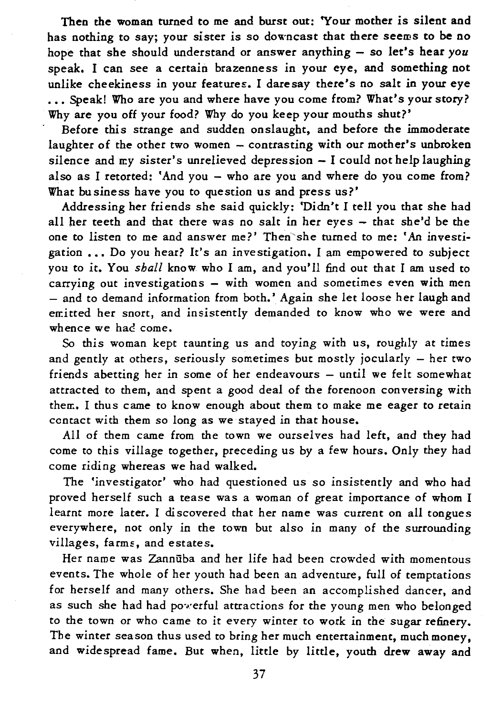Then the woman turned to me and burst out: 'Your mother *is* silent and has nothing to say; your sister *is* so downcast that there seems to be no hope that she should understand or answer anything - so let's hear you speak. I can see a certain brazenness *in* your eye, and something not unlike cheekiness in your features. I daresay there's no salt *in* your eye ... Speak! Who are you and where have you come from? What's your story? Why are you off your food? Why do you keep your mouths shut?'

Before this strange and sudden onslaught, and before the immoderate laughter of the other two women - contrasting with our mother's unbroken silence and  $my$  sister's unrelieved depression  $-1$  could not help laughing also as I retorted: 'And you - who are you and where do you come from? What business have you to question us and press us?'

Addressing her friends she said quickly: 'Didn't I tell you that she had all her teeth and that there was no salt in her eyes - that she'd be the one to listen to me and answer me?' Then'she turned to me: 'An investigation ... Do you hear? It's an investigation. I am empowered to subject you to it. You *shall* know. who I am, and you'll find out that I am used to carrying out investigations - with women and sometimes even with men - and to demand information from both.' Again she let loose her laugh and en:itted her snort, and insistently demanded to know who we were and whence we had come.

So *this* woman kept taunting us and *toying* with us, roughly at times and gently at others, seriously sometimes but mostly jocularly  $-$  her two friends abetting her in some of her endeavours - until we felt somewhat attracted to them, and spent a good deal of the forenoon conversing with then:. I thus came to know enough about them to make me eager to retain contact with them so long as we stayed in that house.

All of them came from the town we ourselves had left, and they had come to this village together, preceding us by a few hours. Only they had come riding whereas we had walked.

The 'investigator' who had questioned us so insistently and who had proved herself such a tease was a woman of great importance of whom I learnt more later. I discovered that her name was current on all tongues everywhere, not only *in* the town but also in many of the surrounding villages, farms, and estates.

Her name was Zannuba and her life had been crowded with momentous events. The whole of her youth had been an adventure, full of temptations for herself and many others. She had been an accomplished dancer, and as such she had had poverful attractions for the young men who belonged to the town or who came to *it* every winter to work in the sugar refinery. The winter season thus used to bring her much entertainment, much money, and widespread fame. But when, little by little, youth drew away and

37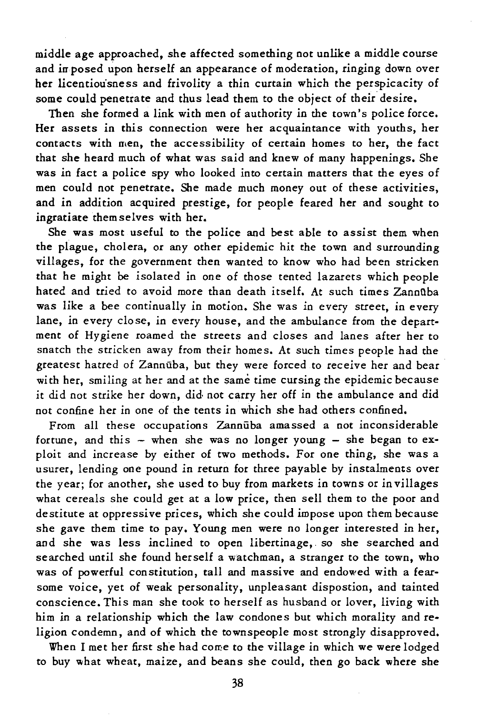middle age approached, she affected something not unlike a middle course and in posed upon herself an appearance of moderation, ringing down over her licentiou'sness and frivolity a thin curtain which the perspicacity of some could penetrate and thus lead them to the object of their desire.

Then she formed a link with men of authority in the town's police force. Her assets *in* this connection were her acquaintance with youths, her contacts with men, the accessibility of certain homes to her, the fact that she heard much of what was said and knew of many happenings. She was *in* fact a police spy who looked into certain matters that the eyes of men could not penetrate. She made much money out of these activities, and *in* addition acquired prestige, for people feared her and sought to ingratiate them selves with her.

She was most useful to the police and best able to assist them when the plague, cholera, or any other epidemic hit the town and surrounding villages, for the government then wanted to know who had been stricken that he might be isolated in one of those tented lazarets which people hated and tried to avoid more than death itself. At such times Zannuba was like a bee continually in motion. She was *in* every street, in every lane, in every close, in every house, and the ambulance from the department of Hygiene roamed the streets and closes and lanes after her to snatch the stricken away from their homes. At such times people had the greatest hatred of Zannuba, but they were forced to receive her and bear with her, smiling at her and at the same time cursing the epidemic because *it* did not strike her down, did not carry her off in the ambulance and did not confine her in one of the tents in which she had others confined.

From all these occupations Zannuba amassed a not inconsiderable fortune, and this  $-$  when she was no longer young  $-$  she began to exploit and increase by either of two methods. For one thing, she was a usurer, lending one pound in return for three payable by instalments over the year; for another, she used to buy from markets *in* towns or *in* villages what cereals she could get at a low price, then sell them to the poor and destitute at oppressive prices, which she could impose upon them because she gave them time to pay. Young men were no longer interested in her, and she was less inclined to open libertinage,. so she searched and searched until she found herself a watchman, a stranger to the town, who was of powerful constitution, tall and massive and endowed with a fearsome voice, yet of weak personality, unpleasant dispostion, and tainted conscience. This man she took to herself as husband or lover, living with him in a relationship which the law condones but which morality and religion condemn, and of which the townspeople most strongly disapproved.

When I met her first she had come to the village in which we were lodged to buy what wheat, maize, and beans she could, then go back where she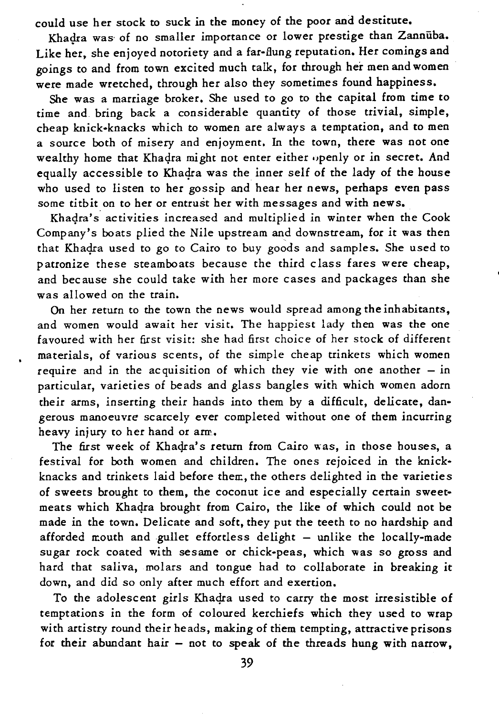could use her stock to suck *in* the money of the poor and destitute.

Khadra was of no smaller importance or lower prestige than Zannuba. Like her, she enjoyed notoriety and a far-Bung reputation. Her comings and goings to and from town excited much talk, for through her men and women were made wretched, through her also they sometimes found happiness.

She was a marriage broker. She used to go to the capital from time to time and bring back a considerable quantity of those trivial, simple, cheap knick-knacks which to women are always a temptation, and to men a source both of misery and enjoyment. In the town, there was not one wealthy home that Khadra might not enter either openly or in secret. And equally accessible to Khadra was the inner self of the lady of the house who used to listen to her gossip and hear her news, perhaps even pass some titbit on to her or entrust her with messages and with news.

Khadra's activities increased and multiplied in winter when the Cook Company's boats plied the Nile upstream and downstream, for *it* was then that Khadra used to go to Cairo to buy goods and samples. She used to patronize these steamboats because the third class fares were cheap, and because she could take with her more cases and packages than she was allowed on the train.

On her return to the town the news would spread among the inhabitants, and women would await her visit. The happiest lady then was the one favoured with her first visit: she had first choice of her stock of different materials, of various scents, of the simple cheap trinkets which women require and in the acquisition of which they vie with one another  $-$  in particular, varieties of beads and glass bangles with which women adorn their arms, inserting their hands into them by a difficult, delicate, dangerous manoeuvre scarcely ever completed without one of them incurring heavy injury to her hand or arm.

The first week of Khadra's return from Cairo was, in those houses, a festival for both women and children. The ones rejoiced in the knickknacks and trinkets laid before then:, the others delighted in the varieties of sweets brought to them, the coconut ice and especially certain sweetmeats which Khaqra brought from Cairo, the like of which could not be made in the town. Delicate and soft, they put the teeth to no hardship and afforded mouth and gullet effortless delight - unlike the locally-made sugar rock coated with sesame or chick-peas, which was so gross and hard that saliva, molars and tongue had to collaborate in breaking it down, and did so only after much effort and exertion.

To the adolescent girls Khadra used to carry the most irresistible of temptations in the form of coloured kerchiefs which they used to wrap with artistry round their heads, making of diem tempting, attractive prisons for their abundant hair - not to speak of the threads hung with narrow,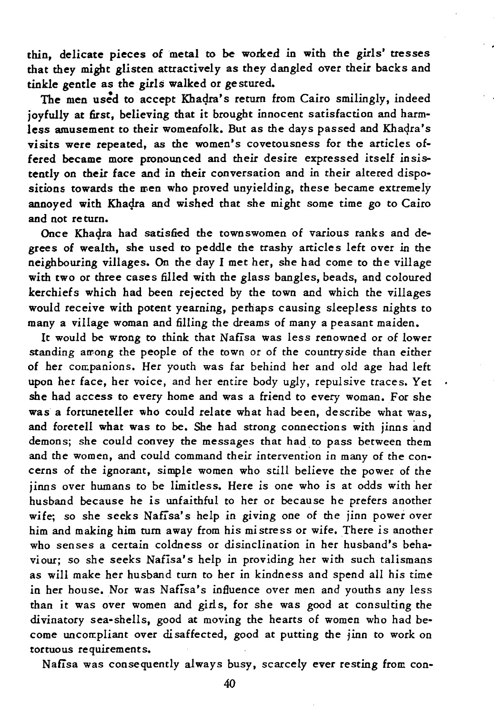thin, delicate pieces of metal to be worked in with the girls' tresses that they might glisten attractively as they dangled over their backs and tinkle gentle as the girls walked or ge stured.

The men used to accept Khadra's return from Cairo smilingly, indeed joyfully at first, believing that it brought innocent satisfaction and harmless amusement to their womenfolk. But as the days passed and Khaqra's visits were repeated, as the women's covetousness for the articles offered became more pronounced and their desire expressed itself *insis*tently on their face and in their conversation and in their altered dispositions towards the men who proved unyielding, these became extremely annoyed with Khadra and wished that she might some time go to Cairo and not re turn.

Once Khadra had satisfied the townswomen of various ranks and degrees of wealth, she used to peddle the trashy articles left over in the neighbouring villages. On the day I met her, she had come to the village with two or three cases filled with the glass bangles, beads, and coloured kerchiefs which had been rejected by the town and which the villages would receive with potent yearning, perhaps causing sleepless nights to many a village woman and filling the dreams of many a peasant maiden.

It would be wrong to think that Nafisa was less renowned or of lower standing among the people of the town or of the country side than either of her companions. Her youth was far behind her and old age had left upon her face, her *voice,* and her entire body ugly, repulsive traces. Yet she had access to every home and was a friend to every woman. For she was a fortuneteller who could relate what had been, describe what was, and foretell what was to be. She had strong connections with jinns and demons; she could convey the messages that had to pass between them and the women, and could command their intervention in many of the concerns of the ignorant, simple women who still believe the power of the jinns over humans to be limitless. Here *is* one who *is* at odds with her husband because he *is* unfaithful to her or because he prefers another *wife;* so she seeks Nafisa's help *in giving* one of the jinn power over *him* and making *him* turn away from his *mistress* or wife. There *is* another who senses a certain coldness or disinclination *in* her husband's behaviour; so she seeks Nafisa's help in providing her with such talismans as will make her husband turn to her in kindness and spend all *his* time in her house. Nor was Nafisa's influence over men and youths any less than it was over women and girls, for she was good at consulting the divinatory sea-shells, good at moving the hearts of women who had become uncompliant over disaffected, good at putting the jinn to work on tortuous requirements.

Nafisa was consequently always busy, scarcely ever resting from con-